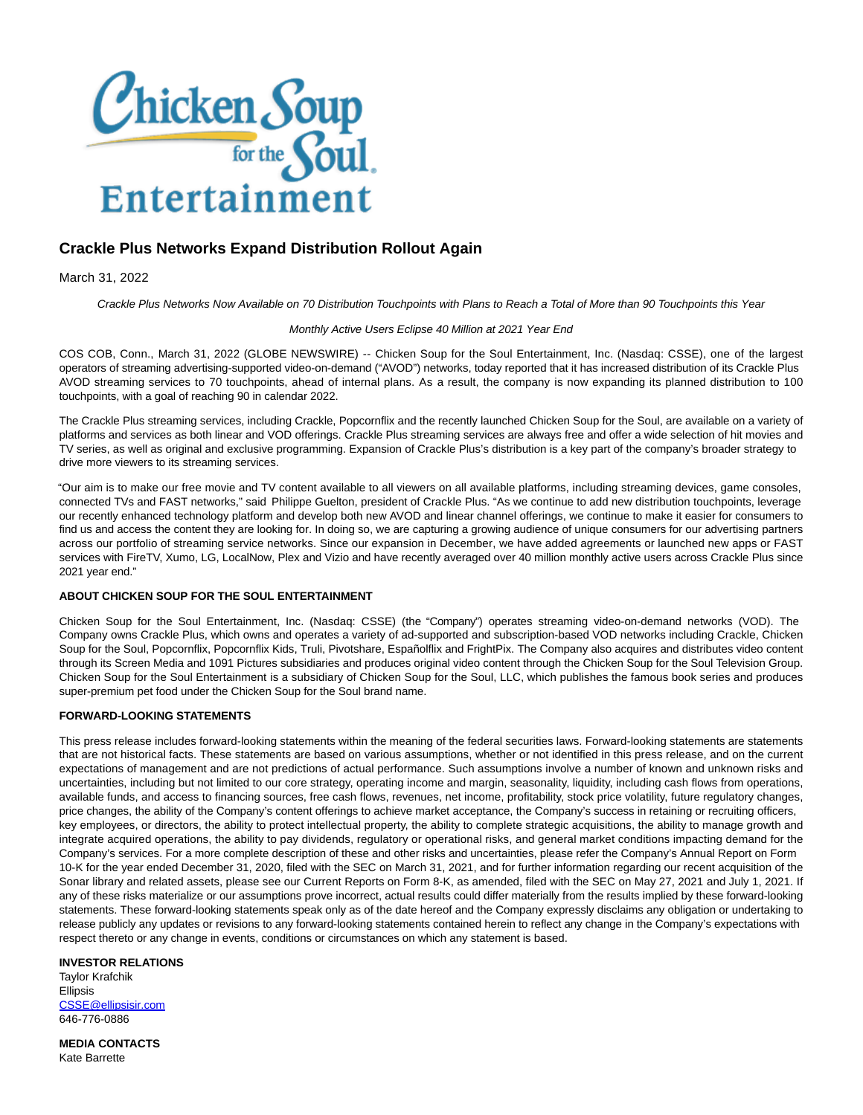

## **Crackle Plus Networks Expand Distribution Rollout Again**

March 31, 2022

Crackle Plus Networks Now Available on 70 Distribution Touchpoints with Plans to Reach a Total of More than 90 Touchpoints this Year

## Monthly Active Users Eclipse 40 Million at 2021 Year End

COS COB, Conn., March 31, 2022 (GLOBE NEWSWIRE) -- Chicken Soup for the Soul Entertainment, Inc. (Nasdaq: CSSE), one of the largest operators of streaming advertising-supported video-on-demand ("AVOD") networks, today reported that it has increased distribution of its Crackle Plus AVOD streaming services to 70 touchpoints, ahead of internal plans. As a result, the company is now expanding its planned distribution to 100 touchpoints, with a goal of reaching 90 in calendar 2022.

The Crackle Plus streaming services, including Crackle, Popcornflix and the recently launched Chicken Soup for the Soul, are available on a variety of platforms and services as both linear and VOD offerings. Crackle Plus streaming services are always free and offer a wide selection of hit movies and TV series, as well as original and exclusive programming. Expansion of Crackle Plus's distribution is a key part of the company's broader strategy to drive more viewers to its streaming services.

"Our aim is to make our free movie and TV content available to all viewers on all available platforms, including streaming devices, game consoles, connected TVs and FAST networks," said Philippe Guelton, president of Crackle Plus. "As we continue to add new distribution touchpoints, leverage our recently enhanced technology platform and develop both new AVOD and linear channel offerings, we continue to make it easier for consumers to find us and access the content they are looking for. In doing so, we are capturing a growing audience of unique consumers for our advertising partners across our portfolio of streaming service networks. Since our expansion in December, we have added agreements or launched new apps or FAST services with FireTV, Xumo, LG, LocalNow, Plex and Vizio and have recently averaged over 40 million monthly active users across Crackle Plus since 2021 year end."

## **ABOUT CHICKEN SOUP FOR THE SOUL ENTERTAINMENT**

Chicken Soup for the Soul Entertainment, Inc. (Nasdaq: CSSE) (the "Company") operates streaming video-on-demand networks (VOD). The Company owns Crackle Plus, which owns and operates a variety of ad-supported and subscription-based VOD networks including Crackle, Chicken Soup for the Soul, Popcornflix, Popcornflix Kids, Truli, Pivotshare, Españolflix and FrightPix. The Company also acquires and distributes video content through its Screen Media and 1091 Pictures subsidiaries and produces original video content through the Chicken Soup for the Soul Television Group. Chicken Soup for the Soul Entertainment is a subsidiary of Chicken Soup for the Soul, LLC, which publishes the famous book series and produces super-premium pet food under the Chicken Soup for the Soul brand name.

## **FORWARD-LOOKING STATEMENTS**

This press release includes forward-looking statements within the meaning of the federal securities laws. Forward-looking statements are statements that are not historical facts. These statements are based on various assumptions, whether or not identified in this press release, and on the current expectations of management and are not predictions of actual performance. Such assumptions involve a number of known and unknown risks and uncertainties, including but not limited to our core strategy, operating income and margin, seasonality, liquidity, including cash flows from operations, available funds, and access to financing sources, free cash flows, revenues, net income, profitability, stock price volatility, future regulatory changes, price changes, the ability of the Company's content offerings to achieve market acceptance, the Company's success in retaining or recruiting officers, key employees, or directors, the ability to protect intellectual property, the ability to complete strategic acquisitions, the ability to manage growth and integrate acquired operations, the ability to pay dividends, regulatory or operational risks, and general market conditions impacting demand for the Company's services. For a more complete description of these and other risks and uncertainties, please refer the Company's Annual Report on Form 10-K for the year ended December 31, 2020, filed with the SEC on March 31, 2021, and for further information regarding our recent acquisition of the Sonar library and related assets, please see our Current Reports on Form 8-K, as amended, filed with the SEC on May 27, 2021 and July 1, 2021. If any of these risks materialize or our assumptions prove incorrect, actual results could differ materially from the results implied by these forward-looking statements. These forward-looking statements speak only as of the date hereof and the Company expressly disclaims any obligation or undertaking to release publicly any updates or revisions to any forward-looking statements contained herein to reflect any change in the Company's expectations with respect thereto or any change in events, conditions or circumstances on which any statement is based.

**INVESTOR RELATIONS**

Taylor Krafchik Ellipsis [CSSE@ellipsisir.com](mailto:CSSE@ellipsisir.com) 646-776-0886

**MEDIA CONTACTS** Kate Barrette